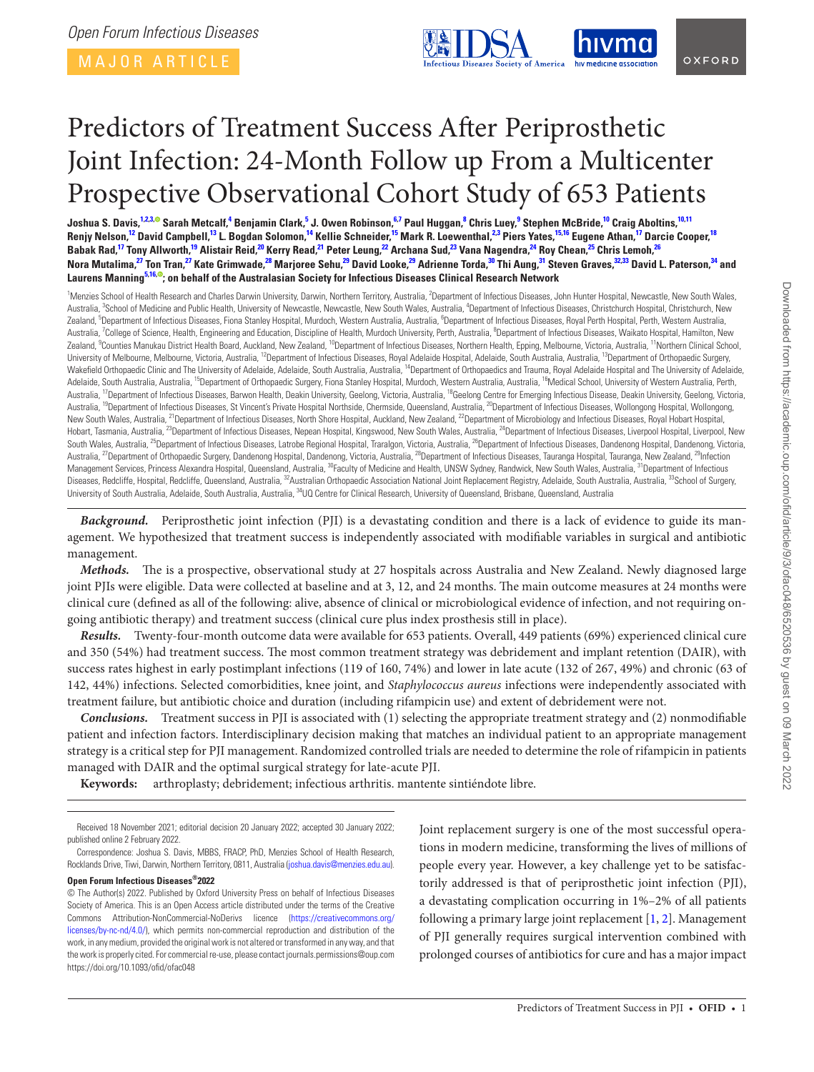MAJOR ARTICLE

<span id="page-0-12"></span>

## <span id="page-0-28"></span><span id="page-0-10"></span>OXFORD

# Predictors of Treatment Success After Periprosthetic Joint Infection: 24-Month Follow up From a Multicenter Prospective Observational Cohort Study of 653 Patients

Joshua S. Davis,<sup>[1,](#page-0-0)[2](#page-0-1)[,3](#page-0-2),®</sup> Sarah Metcalf,<sup>[4](#page-0-3)</sup> Benjamin Clark,<sup>[5](#page-0-4)</sup> J. Owen Robinson,<sup>[6,](#page-0-5)[7](#page-0-6)</sup> Paul Huggan,<sup>[8](#page-0-7)</sup> Chris Luey,<sup>[9](#page-0-8)</sup> Stephen McBride,<sup>[10](#page-0-9)</sup> Craig Aboltins,<sup>10,[11](#page-0-10)</sup> Renjy Nelson,<sup>12</sup> David Campbell,<sup>[13](#page-0-12)</sup> L. Bogdan Solomon,<sup>14</sup> Kellie Schneider,<sup>[15](#page-0-14)</sup> Mark R. Loewenthal,<sup>[2,](#page-0-1)[3](#page-0-2)</sup> Piers Yates,<sup>[15,](#page-0-14)16</sup> Eugene Athan,<sup>17</sup> Darcie Cooper,<sup>[18](#page-0-17)</sup> Babak Rad,<sup>17</sup> Tony Allworth,<sup>[19](#page-0-18)</sup> Alistair Reid,<sup>20</sup> Kerry Read,<sup>21</sup> Peter Leung,<sup>22</sup> Archana Sud,<sup>23</sup> Vana Nagendra,<sup>24</sup> Roy Chean,<sup>[25](#page-0-24)</sup> Chris Lemoh,<sup>[26](#page-0-25)</sup> Nora Mutalima,<sup>[27](#page-0-26)</sup> T[on T](https://orcid.org/0000-0003-4334-5351)ran,<sup>27</sup> Kate Grimwade,<sup>[28](#page-0-27)</sup> Marjoree Sehu,<sup>[29](#page-0-28)</sup> David Looke,<sup>29</sup> Adrienne Torda,<sup>[30](#page-0-29)</sup> Thi Aung,<sup>[31](#page-0-30)</sup> Steven Graves,<sup>[32](#page-0-31)[,33](#page-0-32)</sup> David L. Paterson,<sup>34</sup> and **Laurens Manning[5,](#page-0-4)[16,](#page-0-15) ; on behalf of the Australasian Society for Infectious Diseases Clinical Research Network**

<span id="page-0-19"></span><span id="page-0-18"></span><span id="page-0-17"></span><span id="page-0-16"></span><span id="page-0-15"></span><span id="page-0-14"></span><span id="page-0-13"></span><span id="page-0-11"></span><span id="page-0-9"></span><span id="page-0-8"></span><span id="page-0-7"></span><span id="page-0-6"></span><span id="page-0-5"></span><span id="page-0-4"></span><span id="page-0-3"></span><span id="page-0-2"></span><span id="page-0-1"></span><span id="page-0-0"></span><sup>1</sup>Menzies School of Health Research and Charles Darwin University, Darwin, Northern Territory, Australia, <sup>2</sup>Department of Infectious Diseases, John Hunter Hospital, Newcastle, New South Wales, Australia, <sup>3</sup>School of Medicine and Public Health, University of Newcastle, Newcastle, New South Wales, Australia, <sup>4</sup>Department of Infectious Diseases, Christchurch Hospital, Christchurch, New Zealand, <sup>5</sup>Department of Infectious Diseases, Fiona Stanley Hospital, Murdoch, Western Australia, Australia, <sup>6</sup>Department of Infectious Diseases, Royal Perth Hospital, Perth, Western Australia, Australia, <sup>7</sup>College of Science, Health, Engineering and Education, Discipline of Health, Murdoch University, Perth, Australia, <sup>8</sup>Department of Infectious Diseases, Waikato Hospital, Hamilton, New Zealand, <sup>9</sup>Counties Manukau District Health Board, Auckland, New Zealand, <sup>10</sup>Department of Infectious Diseases, Northern Health, Epping, Melbourne, Victoria, Australia, <sup>11</sup>Northern Clinical School, University of Melbourne, Melbourne, Victoria, Australia, <sup>12</sup>Department of Infectious Diseases, Royal Adelaide Hospital, Adelaide, South Australia, Australia, <sup>13</sup>Department of Orthopaedic Surgery, Wakefield Orthopaedic Clinic and The University of Adelaide, Adelaide, South Australia, Australia, <sup>14</sup>Department of Orthopaedics and Trauma, Royal Adelaide Hospital and The University of Adelaide, Adelaide, South Australia, Australia, <sup>15</sup>Department of Orthopaedic Surgery, Fiona Stanley Hospital, Murdoch, Western Australia, Australia, <sup>16</sup>Medical School, University of Western Australia, Perth, Australia, <sup>17</sup>Department of Infectious Diseases, Barwon Health, Deakin University, Geelong, Victoria, Australia, <sup>18</sup>Geelong Centre for Emerging Infectious Disease, Deakin University, Geelong, Victoria, Australia, <sup>19</sup>Department of Infectious Diseases, St Vincent's Private Hospital Northside, Chermside, Queensland, Australia, <sup>20</sup>Department of Infectious Diseases, Wollongong Hospital, Wollongong, New South Wales, Australia, <sup>21</sup>Department of Infectious Diseases, North Shore Hospital, Auckland, New Zealand, <sup>22</sup>Department of Microbiology and Infectious Diseases, Royal Hobart Hospital, Hobart, Tasmania, Australia, <sup>23</sup>Department of Infectious Diseases, Nepean Hospital, Kingswood, New South Wales, Australia, <sup>24</sup>Department of Infectious Diseases, Liverpool Hospital, Liverpool, New South Wales, Australia, <sup>25</sup>Department of Infectious Diseases, Latrobe Regional Hospital, Traralgon, Victoria, Australia, <sup>26</sup>Department of Infectious Diseases, Dandenong Hospital, Dandenong, Victoria, Australia, <sup>27</sup>Department of Orthopaedic Surgery, Dandenong Hospital, Dandenong, Victoria, Australia, <sup>28</sup>Department of Infectious Diseases, Tauranga Hospital, Tauranga, New Zealand, <sup>29</sup>Infection Management Services, Princess Alexandra Hospital, Queensland, Australia, <sup>30</sup>Faculty of Medicine and Health, UNSW Sydney, Randwick, New South Wales, Australia, <sup>31</sup>Department of Infectious Diseases, Redcliffe, Hospital, Redcliffe, Queensland, Australia, <sup>32</sup>Australian Orthopaedic Association National Joint Replacement Registry, Adelaide, South Australia, Australia, <sup>33</sup>School of Surgery, University of South Australia, Adelaide, South Australia, Australia, <sup>34</sup>UQ Centre for Clinical Research, University of Queensland, Brisbane, Queensland, Australia

<span id="page-0-33"></span><span id="page-0-31"></span><span id="page-0-29"></span><span id="page-0-27"></span><span id="page-0-26"></span><span id="page-0-25"></span><span id="page-0-24"></span><span id="page-0-23"></span><span id="page-0-22"></span><span id="page-0-21"></span><span id="page-0-20"></span>*Background.* Periprosthetic joint infection (PJI) is a devastating condition and there is a lack of evidence to guide its management. We hypothesized that treatment success is independently associated with modifiable variables in surgical and antibiotic management.

*Methods.* The is a prospective, observational study at 27 hospitals across Australia and New Zealand. Newly diagnosed large joint PJIs were eligible. Data were collected at baseline and at 3, 12, and 24 months. The main outcome measures at 24 months were clinical cure (defined as all of the following: alive, absence of clinical or microbiological evidence of infection, and not requiring ongoing antibiotic therapy) and treatment success (clinical cure plus index prosthesis still in place).

*Results.* Twenty-four-month outcome data were available for 653 patients. Overall, 449 patients (69%) experienced clinical cure and 350 (54%) had treatment success. The most common treatment strategy was debridement and implant retention (DAIR), with success rates highest in early postimplant infections (119 of 160, 74%) and lower in late acute (132 of 267, 49%) and chronic (63 of 142, 44%) infections. Selected comorbidities, knee joint, and *Staphylococcus aureus* infections were independently associated with treatment failure, but antibiotic choice and duration (including rifampicin use) and extent of debridement were not.

*Conclusions.* Treatment success in PJI is associated with (1) selecting the appropriate treatment strategy and (2) nonmodifiable patient and infection factors. Interdisciplinary decision making that matches an individual patient to an appropriate management strategy is a critical step for PJI management. Randomized controlled trials are needed to determine the role of rifampicin in patients managed with DAIR and the optimal surgical strategy for late-acute PJI.

**Keywords:** arthroplasty; debridement; infectious arthritis. mantente sintiéndote libre.

Correspondence: Joshua S. Davis, MBBS, FRACP, PhD, Menzies School of Health Research, Rocklands Drive, Tiwi, Darwin, Northern Territory, 0811, Australia ([joshua.davis@menzies.edu.au\)](mailto:joshua.davis@menzies.edu.au).

#### **Open Forum Infectious Diseases®2022**

<span id="page-0-32"></span><span id="page-0-30"></span>Joint replacement surgery is one of the most successful operations in modern medicine, transforming the lives of millions of people every year. However, a key challenge yet to be satisfactorily addressed is that of periprosthetic joint infection (PJI), a devastating complication occurring in 1%–2% of all patients following a primary large joint replacement [[1](#page-7-0), [2\]](#page-7-1). Management of PJI generally requires surgical intervention combined with prolonged courses of antibiotics for cure and has a major impact

Received 18 November 2021; editorial decision 20 January 2022; accepted 30 January 2022; published online 2 February 2022.

<sup>©</sup> The Author(s) 2022. Published by Oxford University Press on behalf of Infectious Diseases Society of America. This is an Open Access article distributed under the terms of the Creative Commons Attribution-NonCommercial-NoDerivs licence ([https://creativecommons.org/](https://creativecommons.org/licenses/by-nc-nd/4.0/) [licenses/by-nc-nd/4.0/](https://creativecommons.org/licenses/by-nc-nd/4.0/)), which permits non-commercial reproduction and distribution of the work, in any medium, provided the original work is not altered or transformed in any way, and that the work is properly cited. For commercial re-use, please contact journals.permissions@oup.com https://doi.org/10.1093/ofid/ofac048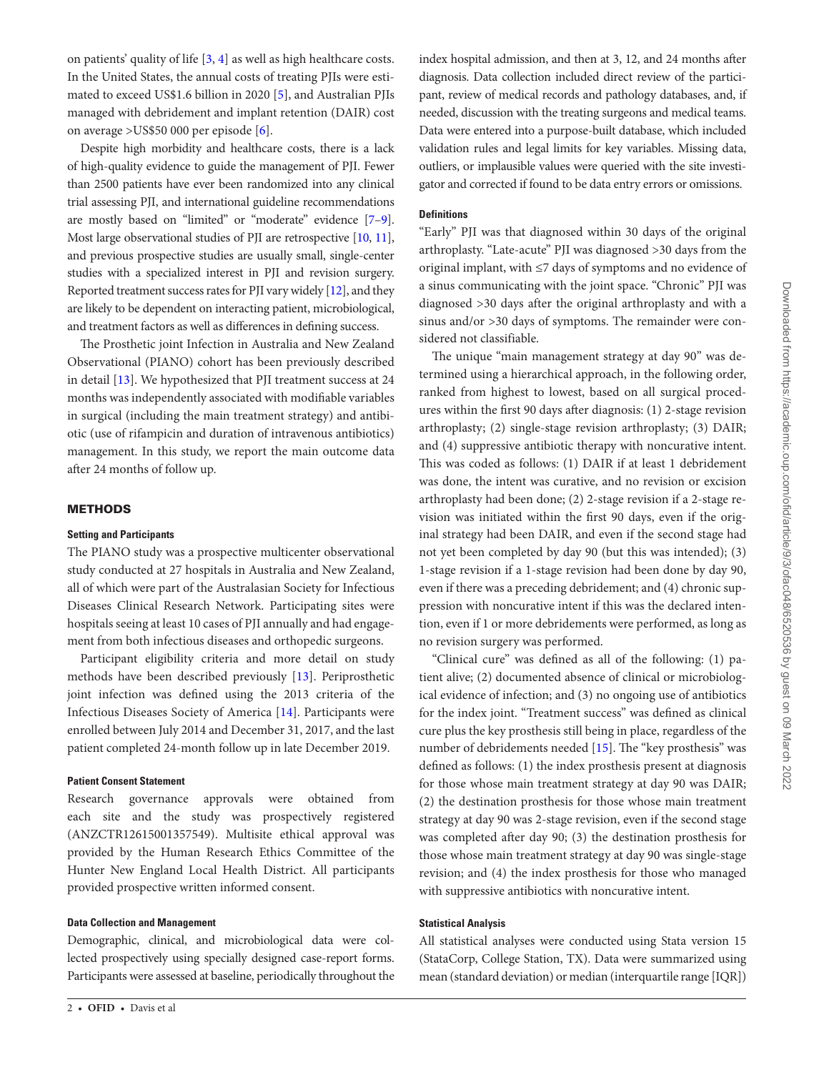on patients' quality of life [\[3,](#page-7-2) [4\]](#page-7-3) as well as high healthcare costs. In the United States, the annual costs of treating PJIs were estimated to exceed US\$1.6 billion in 2020 [[5](#page-7-4)], and Australian PJIs managed with debridement and implant retention (DAIR) cost on average >US\$50 000 per episode [\[6\]](#page-7-5).

Despite high morbidity and healthcare costs, there is a lack of high-quality evidence to guide the management of PJI. Fewer than 2500 patients have ever been randomized into any clinical trial assessing PJI, and international guideline recommendations are mostly based on "limited" or "moderate" evidence [\[7](#page-7-6)[–9\]](#page-7-7). Most large observational studies of PJI are retrospective [[10](#page-7-8), [11\]](#page-7-9), and previous prospective studies are usually small, single-center studies with a specialized interest in PJI and revision surgery. Reported treatment success rates for PJI vary widely [[12\]](#page-7-10), and they are likely to be dependent on interacting patient, microbiological, and treatment factors as well as differences in defining success.

The Prosthetic joint Infection in Australia and New Zealand Observational (PIANO) cohort has been previously described in detail [[13\]](#page-7-11). We hypothesized that PJI treatment success at 24 months was independently associated with modifiable variables in surgical (including the main treatment strategy) and antibiotic (use of rifampicin and duration of intravenous antibiotics) management. In this study, we report the main outcome data after 24 months of follow up.

## **METHODS**

#### **Setting and Participants**

The PIANO study was a prospective multicenter observational study conducted at 27 hospitals in Australia and New Zealand, all of which were part of the Australasian Society for Infectious Diseases Clinical Research Network. Participating sites were hospitals seeing at least 10 cases of PJI annually and had engagement from both infectious diseases and orthopedic surgeons.

Participant eligibility criteria and more detail on study methods have been described previously [\[13\]](#page-7-11). Periprosthetic joint infection was defined using the 2013 criteria of the Infectious Diseases Society of America [[14\]](#page-7-12). Participants were enrolled between July 2014 and December 31, 2017, and the last patient completed 24-month follow up in late December 2019.

#### **Patient Consent Statement**

Research governance approvals were obtained from each site and the study was prospectively registered (ANZCTR12615001357549). Multisite ethical approval was provided by the Human Research Ethics Committee of the Hunter New England Local Health District. All participants provided prospective written informed consent.

## **Data Collection and Management**

Demographic, clinical, and microbiological data were collected prospectively using specially designed case-report forms. Participants were assessed at baseline, periodically throughout the index hospital admission, and then at 3, 12, and 24 months after diagnosis. Data collection included direct review of the participant, review of medical records and pathology databases, and, if needed, discussion with the treating surgeons and medical teams. Data were entered into a purpose-built database, which included validation rules and legal limits for key variables. Missing data, outliers, or implausible values were queried with the site investigator and corrected if found to be data entry errors or omissions.

## **Definitions**

"Early" PJI was that diagnosed within 30 days of the original arthroplasty. "Late-acute" PJI was diagnosed >30 days from the original implant, with ≤7 days of symptoms and no evidence of a sinus communicating with the joint space. "Chronic" PJI was diagnosed >30 days after the original arthroplasty and with a sinus and/or >30 days of symptoms. The remainder were considered not classifiable.

The unique "main management strategy at day 90" was determined using a hierarchical approach, in the following order, ranked from highest to lowest, based on all surgical procedures within the first 90 days after diagnosis: (1) 2-stage revision arthroplasty; (2) single-stage revision arthroplasty; (3) DAIR; and (4) suppressive antibiotic therapy with noncurative intent. This was coded as follows: (1) DAIR if at least 1 debridement was done, the intent was curative, and no revision or excision arthroplasty had been done; (2) 2-stage revision if a 2-stage revision was initiated within the first 90 days, even if the original strategy had been DAIR, and even if the second stage had not yet been completed by day 90 (but this was intended); (3) 1-stage revision if a 1-stage revision had been done by day 90, even if there was a preceding debridement; and (4) chronic suppression with noncurative intent if this was the declared intention, even if 1 or more debridements were performed, as long as no revision surgery was performed.

"Clinical cure" was defined as all of the following: (1) patient alive; (2) documented absence of clinical or microbiological evidence of infection; and (3) no ongoing use of antibiotics for the index joint. "Treatment success" was defined as clinical cure plus the key prosthesis still being in place, regardless of the number of debridements needed [\[15](#page-7-13)]. The "key prosthesis" was defined as follows: (1) the index prosthesis present at diagnosis for those whose main treatment strategy at day 90 was DAIR; (2) the destination prosthesis for those whose main treatment strategy at day 90 was 2-stage revision, even if the second stage was completed after day 90; (3) the destination prosthesis for those whose main treatment strategy at day 90 was single-stage revision; and (4) the index prosthesis for those who managed with suppressive antibiotics with noncurative intent.

#### **Statistical Analysis**

All statistical analyses were conducted using Stata version 15 (StataCorp, College Station, TX). Data were summarized using mean (standard deviation) or median (interquartile range [IQR])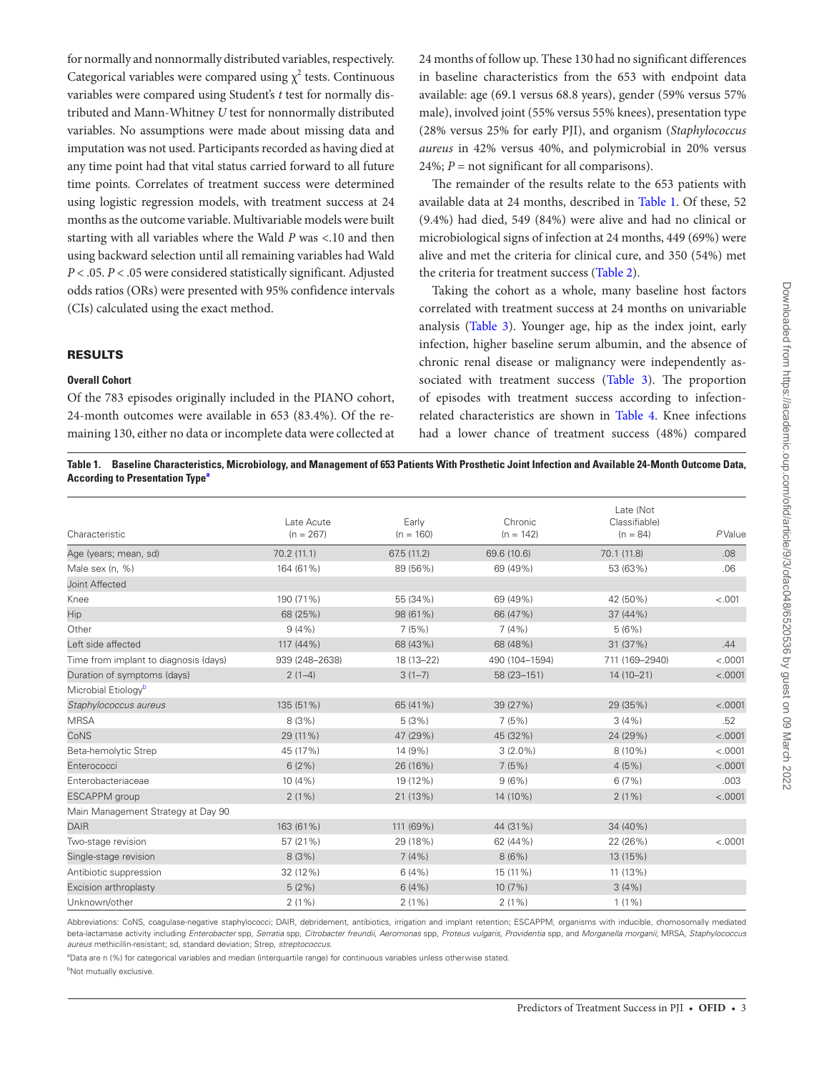for normally and nonnormally distributed variables, respectively. Categorical variables were compared using  $\chi^2$  tests. Continuous variables were compared using Student's *t* test for normally distributed and Mann-Whitney *U* test for nonnormally distributed variables. No assumptions were made about missing data and imputation was not used. Participants recorded as having died at any time point had that vital status carried forward to all future time points. Correlates of treatment success were determined using logistic regression models, with treatment success at 24 months as the outcome variable. Multivariable models were built starting with all variables where the Wald *P* was <.10 and then using backward selection until all remaining variables had Wald *P* < .05. *P* < .05 were considered statistically significant. Adjusted odds ratios (ORs) were presented with 95% confidence intervals (CIs) calculated using the exact method.

#### RESULTS

#### **Overall Cohort**

Of the 783 episodes originally included in the PIANO cohort, 24-month outcomes were available in 653 (83.4%). Of the remaining 130, either no data or incomplete data were collected at 24 months of follow up. These 130 had no significant differences in baseline characteristics from the 653 with endpoint data available: age (69.1 versus 68.8 years), gender (59% versus 57% male), involved joint (55% versus 55% knees), presentation type (28% versus 25% for early PJI), and organism (*Staphylococcus aureus* in 42% versus 40%, and polymicrobial in 20% versus  $24\%$ ;  $P =$  not significant for all comparisons).

The remainder of the results relate to the 653 patients with available data at 24 months, described in [Table 1.](#page-2-0) Of these, 52 (9.4%) had died, 549 (84%) were alive and had no clinical or microbiological signs of infection at 24 months, 449 (69%) were alive and met the criteria for clinical cure, and 350 (54%) met the criteria for treatment success ([Table 2\)](#page-3-0).

Taking the cohort as a whole, many baseline host factors correlated with treatment success at 24 months on univariable analysis ([Table 3](#page-3-1)). Younger age, hip as the index joint, early infection, higher baseline serum albumin, and the absence of chronic renal disease or malignancy were independently as-sociated with treatment success ([Table 3\)](#page-3-1). The proportion of episodes with treatment success according to infectionrelated characteristics are shown in [Table 4](#page-4-0). Knee infections had a lower chance of treatment success (48%) compared

<span id="page-2-0"></span>**Table 1. Baseline Characteristics, Microbiology, and Management of 653 Patients With Prosthetic Joint Infection and Available 24-Month Outcome Data, According to Present[a](#page-2-1)tion Type<sup>®</sup>** 

| Characteristic                        | Late Acute<br>$(n = 267)$ | Early<br>$(n = 160)$ | Chronic<br>$(n = 142)$ | Late (Not<br>Classifiable)<br>$(n = 84)$ | $P$ Value |
|---------------------------------------|---------------------------|----------------------|------------------------|------------------------------------------|-----------|
| Age (years; mean, sd)                 | 70.2(11.1)                | 67.5 (11.2)          | 69.6 (10.6)            | 70.1 (11.8)                              | .08       |
| Male sex (n, %)                       | 164 (61%)                 | 89 (56%)             | 69 (49%)               | 53 (63%)                                 | .06       |
| Joint Affected                        |                           |                      |                        |                                          |           |
| Knee                                  | 190 (71%)                 | 55 (34%)             | 69 (49%)               | 42 (50%)                                 | < .001    |
| Hip                                   | 68 (25%)                  | 98 (61%)             | 66 (47%)               | 37 (44%)                                 |           |
| Other                                 | 9(4%                      | 7(5%)                | 7(4%)                  | 5(6%)                                    |           |
| Left side affected                    | 117 (44%)                 | 68 (43%)             | 68 (48%)               | 31 (37%)                                 | .44       |
| Time from implant to diagnosis (days) | 939 (248-2638)            | 18 (13-22)           | 490 (104-1594)         | 711 (169-2940)                           | < .0001   |
| Duration of symptoms (days)           | $2(1-4)$                  | $3(1-7)$             | 58 (23-151)            | $14(10-21)$                              | < .0001   |
| Microbial Etiology <sup>b</sup>       |                           |                      |                        |                                          |           |
| Staphylococcus aureus                 | 135 (51%)                 | 65 (41%)             | 39 (27%)               | 29 (35%)                                 | < .0001   |
| <b>MRSA</b>                           | 8(3%)                     | 5(3%)                | 7(5%)                  | 3(4%)                                    | .52       |
| CoNS                                  | 29 (11%)                  | 47 (29%)             | 45 (32%)               | 24 (29%)                                 | < .0001   |
| Beta-hemolytic Strep                  | 45 (17%)                  | 14 (9%)              | $3(2.0\%)$             | $8(10\%)$                                | < .0001   |
| Enterococci                           | 6(2%)                     | 26 (16%)             | 7(5%)                  | 4(5%)                                    | < .0001   |
| Enterobacteriaceae                    | 10(4%)                    | 19 (12%)             | 9(6%)                  | 6(7%)                                    | .003      |
| <b>ESCAPPM</b> group                  | $2(1\%)$                  | 21 (13%)             | 14 (10%)               | $2(1\%)$                                 | < .0001   |
| Main Management Strategy at Day 90    |                           |                      |                        |                                          |           |
| <b>DAIR</b>                           | 163 (61%)                 | 111 (69%)            | 44 (31%)               | 34 (40%)                                 |           |
| Two-stage revision                    | 57 (21%)                  | 29 (18%)             | 62 (44%)               | 22 (26%)                                 | < .0001   |
| Single-stage revision                 | 8(3%)                     | 7(4%)                | 8(6%)                  | 13 (15%)                                 |           |
| Antibiotic suppression                | 32 (12%)                  | 6(4%)                | 15 (11%)               | 11 (13%)                                 |           |
| Excision arthroplasty                 | 5(2%)                     | 6(4%)                | 10(7%)                 | 3(4%)                                    |           |
| Unknown/other                         | $2(1\%)$                  | $2(1\%)$             | $2(1\%)$               | $1(1\%)$                                 |           |

Abbreviations: CoNS, coagulase-negative staphylococci; DAIR, debridement, antibiotics, irrigation and implant retention; ESCAPPM, organisms with inducible, chomosomally mediated beta-lactamase activity including Enterobacter spp. Serratia spp. Citrobacter freundii. Aeromonas spp. Proteus vulgaris. Providentia spp. and Morganella morganii: MRSA, Staphylococcus *aureus* methicillin-resistant; sd, standard deviation; Strep, *streptococcus*.

<span id="page-2-1"></span>a Data are n (%) for categorical variables and median (interquartile range) for continuous variables unless otherwise stated.

<span id="page-2-2"></span>**b**Not mutually exclusive.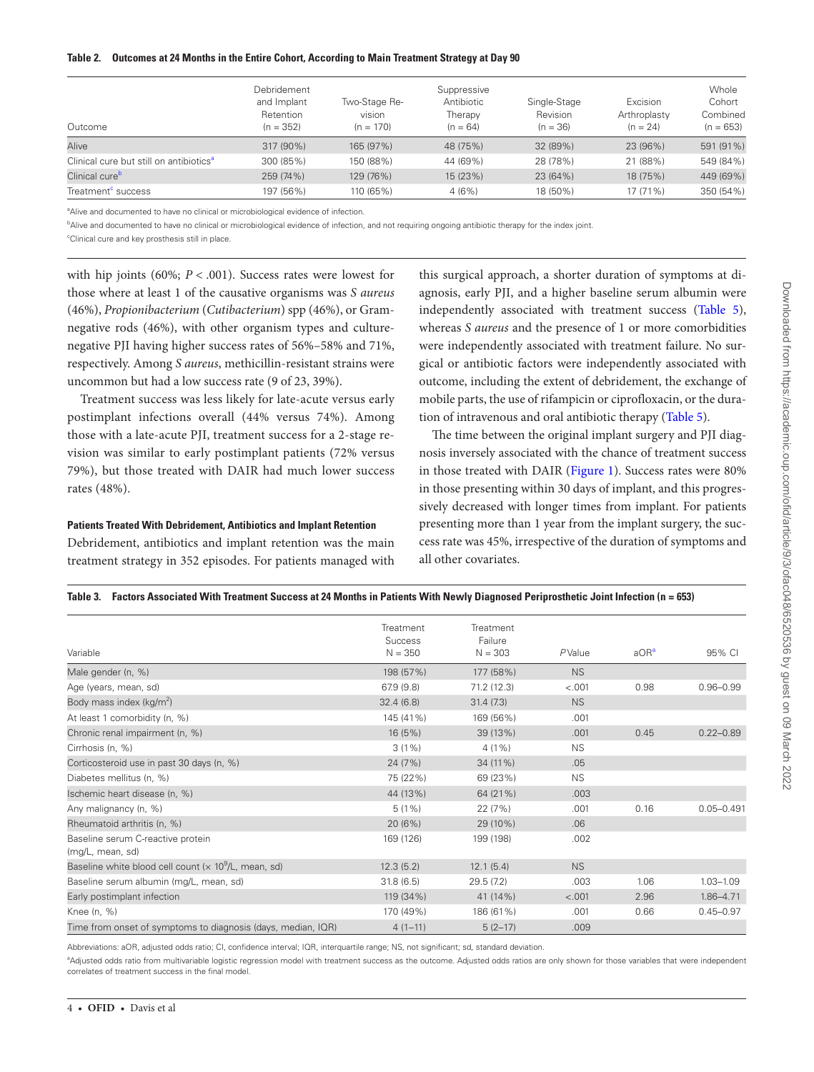#### <span id="page-3-0"></span>**Table 2. Outcomes at 24 Months in the Entire Cohort, According to Main Treatment Strategy at Day 90**

| Outcome                                             | Debridement<br>and Implant<br>Retention<br>$(n = 352)$ | Two-Stage Re-<br>vision<br>$(n = 170)$ | Suppressive<br>Antibiotic<br>Therapy<br>$(n = 64)$ | Single-Stage<br>Revision<br>$(n = 36)$ | Excision<br>Arthroplasty<br>$(n = 24)$ | Whole<br>Cohort<br>Combined<br>$(n = 653)$ |
|-----------------------------------------------------|--------------------------------------------------------|----------------------------------------|----------------------------------------------------|----------------------------------------|----------------------------------------|--------------------------------------------|
| Alive                                               | 317 (90%)                                              | 165 (97%)                              | 48 (75%)                                           | 32 (89%)                               | 23 (96%)                               | 591 (91%)                                  |
| Clinical cure but still on antibiotics <sup>a</sup> | 300 (85%)                                              | 150 (88%)                              | 44 (69%)                                           | 28 (78%)                               | 21 (88%)                               | 549 (84%)                                  |
| Clinical cure <sup>b</sup>                          | 259 (74%)                                              | 129 (76%)                              | 15 (23%)                                           | 23 (64%)                               | 18 (75%)                               | 449 (69%)                                  |
| Treatment <sup>c</sup> success                      | 197 (56%)                                              | 110 (65%)                              | 4(6%)                                              | 18 (50%)                               | $17(71\%)$                             | 350 (54%)                                  |

<span id="page-3-2"></span><sup>a</sup>Alive and documented to have no clinical or microbiological evidence of infection.

<span id="page-3-3"></span>b Alive and documented to have no clinical or microbiological evidence of infection, and not requiring ongoing antibiotic therapy for the index joint.

<span id="page-3-4"></span>c Clinical cure and key prosthesis still in place.

with hip joints (60%; *P* < .001). Success rates were lowest for those where at least 1 of the causative organisms was *S aureus* (46%), *Propionibacterium* (*Cutibacterium*) spp (46%), or Gramnegative rods (46%), with other organism types and culturenegative PJI having higher success rates of 56%–58% and 71%, respectively. Among *S aureus*, methicillin-resistant strains were uncommon but had a low success rate (9 of 23, 39%).

Treatment success was less likely for late-acute versus early postimplant infections overall (44% versus 74%). Among those with a late-acute PJI, treatment success for a 2-stage revision was similar to early postimplant patients (72% versus 79%), but those treated with DAIR had much lower success rates (48%).

## **Patients Treated With Debridement, Antibiotics and Implant Retention**

Debridement, antibiotics and implant retention was the main treatment strategy in 352 episodes. For patients managed with this surgical approach, a shorter duration of symptoms at diagnosis, early PJI, and a higher baseline serum albumin were independently associated with treatment success ([Table 5](#page-5-0)), whereas *S aureus* and the presence of 1 or more comorbidities were independently associated with treatment failure. No surgical or antibiotic factors were independently associated with outcome, including the extent of debridement, the exchange of mobile parts, the use of rifampicin or ciprofloxacin, or the duration of intravenous and oral antibiotic therapy [\(Table 5](#page-5-0)).

The time between the original implant surgery and PJI diagnosis inversely associated with the chance of treatment success in those treated with DAIR ([Figure 1](#page-6-0)). Success rates were 80% in those presenting within 30 days of implant, and this progressively decreased with longer times from implant. For patients presenting more than 1 year from the implant surgery, the success rate was 45%, irrespective of the duration of symptoms and all other covariates.

## <span id="page-3-1"></span>**Table 3. Factors Associated With Treatment Success at 24 Months in Patients With Newly Diagnosed Periprosthetic Joint Infection (n = 653)**

| Variable                                                                 | Treatment<br>Success<br>$N = 350$ | Treatment<br>Failure<br>$N = 303$ | PValue    | aOR <sup>a</sup> | 95% CI         |
|--------------------------------------------------------------------------|-----------------------------------|-----------------------------------|-----------|------------------|----------------|
| Male gender (n, %)                                                       | 198 (57%)                         | 177 (58%)                         | <b>NS</b> |                  |                |
| Age (years, mean, sd)                                                    | 67.9 (9.8)                        | 71.2 (12.3)                       | $-.001$   | 0.98             | $0.96 - 0.99$  |
| Body mass index $(kg/m2)$                                                | 32.4(6.8)                         | 31.4(7.3)                         | <b>NS</b> |                  |                |
| At least 1 comorbidity (n, %)                                            | 145 (41%)                         | 169 (56%)                         | .001      |                  |                |
| Chronic renal impairment (n, %)                                          | 16 (5%)                           | 39 (13%)                          | .001      | 0.45             | $0.22 - 0.89$  |
| Cirrhosis (n, %)                                                         | $3(1\%)$                          | $4(1\%)$                          | <b>NS</b> |                  |                |
| Corticosteroid use in past 30 days (n, %)                                | 24 (7%)                           | 34 (11%)                          | .05       |                  |                |
| Diabetes mellitus (n, %)                                                 | 75 (22%)                          | 69 (23%)                          | <b>NS</b> |                  |                |
| Ischemic heart disease (n, %)                                            | 44 (13%)                          | 64 (21%)                          | .003      |                  |                |
| Any malignancy (n, %)                                                    | $5(1\%)$                          | 22 (7%)                           | .001      | 0.16             | $0.05 - 0.491$ |
| Rheumatoid arthritis (n, %)                                              | 20(6%)                            | 29 (10%)                          | .06       |                  |                |
| Baseline serum C-reactive protein<br>(mg/L, mean, sd)                    | 169 (126)                         | 199 (198)                         | .002      |                  |                |
| Baseline white blood cell count ( $\times$ 10 <sup>9</sup> /L, mean, sd) | 12.3(5.2)                         | 12.1(5.4)                         | <b>NS</b> |                  |                |
| Baseline serum albumin (mg/L, mean, sd)                                  | 31.8(6.5)                         | 29.5(7.2)                         | .003      | 1.06             | $1.03 - 1.09$  |
| Early postimplant infection                                              | 119 (34%)                         | 41 (14%)                          | < .001    | 2.96             | $1.86 - 4.71$  |
| Knee (n, %)                                                              | 170 (49%)                         | 186 (61%)                         | .001      | 0.66             | $0.45 - 0.97$  |
| Time from onset of symptoms to diagnosis (days, median, IQR)             | $4(1-11)$                         | $5(2-17)$                         | .009      |                  |                |

Abbreviations: aOR, adjusted odds ratio; CI, confidence interval; IQR, interquartile range; NS, not significant; sd, standard deviation.

<span id="page-3-5"></span><sup>a</sup>Adjusted odds ratio from multivariable logistic regression model with treatment success as the outcome. Adjusted odds ratios are only shown for those variables that were independent correlates of treatment success in the final model.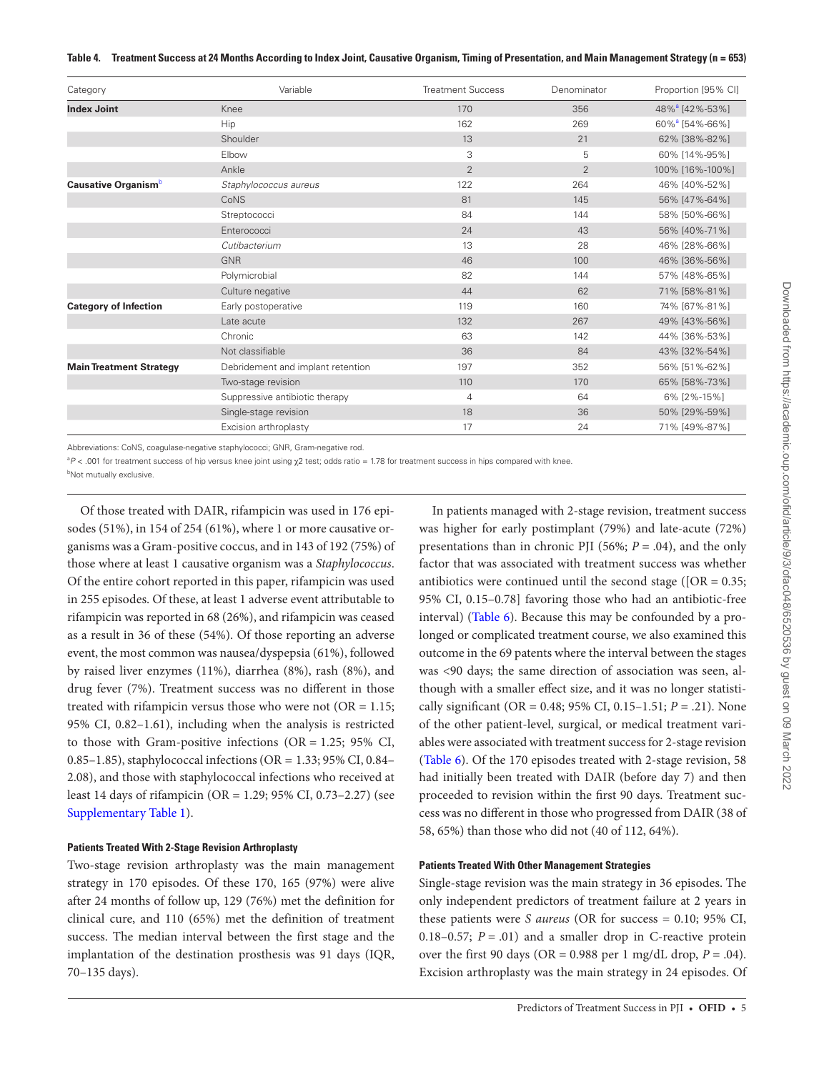#### <span id="page-4-0"></span>**Table 4. Treatment Success at 24 Months According to Index Joint, Causative Organism, Timing of Presentation, and Main Management Strategy (n = 653)**

| Category                        | Variable                          | <b>Treatment Success</b> | Denominator    | Proportion [95% CI]        |
|---------------------------------|-----------------------------------|--------------------------|----------------|----------------------------|
| <b>Index Joint</b>              | Knee                              | 170                      | 356            | 48% <sup>a</sup> [42%-53%] |
|                                 | Hip                               | 162                      | 269            | 60% <sup>a</sup> [54%-66%] |
|                                 | Shoulder                          | 13                       | 21             | 62% [38%-82%]              |
|                                 | Elbow                             | 3                        | 5              | 60% [14%-95%]              |
|                                 | Ankle                             | $\overline{2}$           | $\overline{2}$ | 100% [16%-100%]            |
| Causative Organism <sup>b</sup> | Staphylococcus aureus             | 122                      | 264            | 46% [40%-52%]              |
|                                 | CoNS                              | 81                       | 145            | 56% [47%-64%]              |
|                                 | Streptococci                      | 84                       | 144            | 58% [50%-66%]              |
|                                 | Enterococci                       | 24                       | 43             | 56% [40%-71%]              |
|                                 | Cutibacterium                     | 13                       | 28             | 46% [28%-66%]              |
|                                 | <b>GNR</b>                        | 46                       | 100            | 46% [36%-56%]              |
|                                 | Polymicrobial                     | 82                       | 144            | 57% [48%-65%]              |
|                                 | Culture negative                  | 44                       | 62             | 71% [58%-81%]              |
| <b>Category of Infection</b>    | Early postoperative               | 119                      | 160            | 74% [67%-81%]              |
|                                 | Late acute                        | 132                      | 267            | 49% [43%-56%]              |
|                                 | Chronic                           | 63                       | 142            | 44% [36%-53%]              |
|                                 | Not classifiable                  | 36                       | 84             | 43% [32%-54%]              |
| <b>Main Treatment Strategy</b>  | Debridement and implant retention | 197                      | 352            | 56% [51%-62%]              |
|                                 | Two-stage revision                | 110                      | 170            | 65% [58%-73%]              |
|                                 | Suppressive antibiotic therapy    | $\overline{4}$           | 64             | 6% [2%-15%]                |
|                                 | Single-stage revision             | 18                       | 36             | 50% [29%-59%]              |
|                                 | Excision arthroplasty             | 17                       | 24             | 71% [49%-87%]              |

Abbreviations: CoNS, coagulase-negative staphylococci; GNR, Gram-negative rod.

<span id="page-4-1"></span><sup>a</sup>P < .001 for treatment success of hip versus knee joint using χ2 test; odds ratio = 1.78 for treatment success in hips compared with knee.

<span id="page-4-2"></span><sup>b</sup>Not mutually exclusive.

Of those treated with DAIR, rifampicin was used in 176 episodes (51%), in 154 of 254 (61%), where 1 or more causative organisms was a Gram-positive coccus, and in 143 of 192 (75%) of those where at least 1 causative organism was a *Staphylococcus*. Of the entire cohort reported in this paper, rifampicin was used in 255 episodes. Of these, at least 1 adverse event attributable to rifampicin was reported in 68 (26%), and rifampicin was ceased as a result in 36 of these (54%). Of those reporting an adverse event, the most common was nausea/dyspepsia (61%), followed by raised liver enzymes (11%), diarrhea (8%), rash (8%), and drug fever (7%). Treatment success was no different in those treated with rifampicin versus those who were not  $(OR = 1.15;$ 95% CI, 0.82–1.61), including when the analysis is restricted to those with Gram-positive infections (OR = 1.25; 95% CI, 0.85–1.85), staphylococcal infections (OR = 1.33; 95% CI, 0.84– 2.08), and those with staphylococcal infections who received at least 14 days of rifampicin (OR = 1.29; 95% CI, 0.73–2.27) (see [Supplementary Table 1\)](http://academic.oup.com/ofid/article-lookup/doi/10.1093/ofid/ofac048#supplementary-data).

#### **Patients Treated With 2-Stage Revision Arthroplasty**

Two-stage revision arthroplasty was the main management strategy in 170 episodes. Of these 170, 165 (97%) were alive after 24 months of follow up, 129 (76%) met the definition for clinical cure, and 110 (65%) met the definition of treatment success. The median interval between the first stage and the implantation of the destination prosthesis was 91 days (IQR, 70–135 days).

In patients managed with 2-stage revision, treatment success was higher for early postimplant (79%) and late-acute (72%) presentations than in chronic PJI (56%; *P* = .04), and the only factor that was associated with treatment success was whether antibiotics were continued until the second stage ( $[OR = 0.35;$ 95% CI, 0.15–0.78] favoring those who had an antibiotic-free interval) ([Table 6](#page-6-1)). Because this may be confounded by a prolonged or complicated treatment course, we also examined this outcome in the 69 patents where the interval between the stages was <90 days; the same direction of association was seen, although with a smaller effect size, and it was no longer statistically significant (OR = 0.48; 95% CI, 0.15–1.51; *P* = .21). None of the other patient-level, surgical, or medical treatment variables were associated with treatment success for 2-stage revision [\(Table 6\)](#page-6-1). Of the 170 episodes treated with 2-stage revision, 58 had initially been treated with DAIR (before day 7) and then proceeded to revision within the first 90 days. Treatment success was no different in those who progressed from DAIR (38 of 58, 65%) than those who did not (40 of 112, 64%).

## **Patients Treated With Other Management Strategies**

Single-stage revision was the main strategy in 36 episodes. The only independent predictors of treatment failure at 2 years in these patients were *S aureus* (OR for success = 0.10; 95% CI, 0.18–0.57;  $P = .01$ ) and a smaller drop in C-reactive protein over the first 90 days (OR =  $0.988$  per 1 mg/dL drop,  $P = .04$ ). Excision arthroplasty was the main strategy in 24 episodes. Of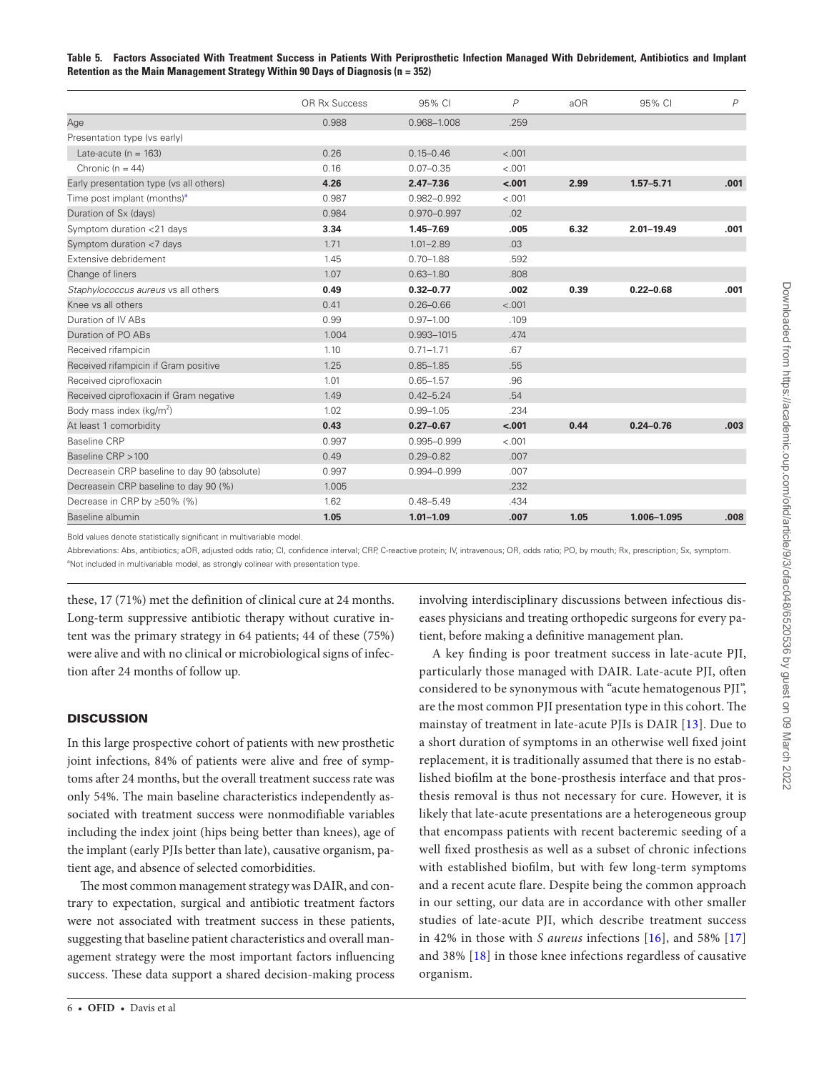<span id="page-5-0"></span>**Table 5. Factors Associated With Treatment Success in Patients With Periprosthetic Infection Managed With Debridement, Antibiotics and Implant Retention as the Main Management Strategy Within 90 Days of Diagnosis (n = 352)**

|                                              | OR Rx Success | 95% CI          | P       | aOR  | 95% CI         | $\overline{P}$ |
|----------------------------------------------|---------------|-----------------|---------|------|----------------|----------------|
| Age                                          | 0.988         | 0.968-1.008     | .259    |      |                |                |
| Presentation type (vs early)                 |               |                 |         |      |                |                |
| Late-acute ( $n = 163$ )                     | 0.26          | $0.15 - 0.46$   | < .001  |      |                |                |
| Chronic $(n = 44)$                           | 0.16          | $0.07 - 0.35$   | < .001  |      |                |                |
| Early presentation type (vs all others)      | 4.26          | $2.47 - 7.36$   | $-.001$ | 2.99 | $1.57 - 5.71$  | .001           |
| Time post implant (months) <sup>a</sup>      | 0.987         | 0.982-0.992     | < .001  |      |                |                |
| Duration of Sx (days)                        | 0.984         | 0.970-0.997     | .02     |      |                |                |
| Symptom duration <21 days                    | 3.34          | $1.45 - 7.69$   | .005    | 6.32 | $2.01 - 19.49$ | .001           |
| Symptom duration <7 days                     | 1.71          | $1.01 - 2.89$   | .03     |      |                |                |
| Extensive debridement                        | 1.45          | $0.70 - 1.88$   | .592    |      |                |                |
| Change of liners                             | 1.07          | $0.63 - 1.80$   | .808    |      |                |                |
| Staphylococcus aureus vs all others          | 0.49          | $0.32 - 0.77$   | .002    | 0.39 | $0.22 - 0.68$  | .001           |
| Knee vs all others                           | 0.41          | $0.26 - 0.66$   | < .001  |      |                |                |
| Duration of IV ABs                           | 0.99          | $0.97 - 1.00$   | .109    |      |                |                |
| Duration of PO ABs                           | 1.004         | 0.993-1015      | .474    |      |                |                |
| Received rifampicin                          | 1.10          | $0.71 - 1.71$   | .67     |      |                |                |
| Received rifampicin if Gram positive         | 1.25          | $0.85 - 1.85$   | .55     |      |                |                |
| Received ciprofloxacin                       | 1.01          | $0.65 - 1.57$   | .96     |      |                |                |
| Received ciprofloxacin if Gram negative      | 1.49          | $0.42 - 5.24$   | .54     |      |                |                |
| Body mass index ( $kg/m2$ )                  | 1.02          | $0.99 - 1.05$   | .234    |      |                |                |
| At least 1 comorbidity                       | 0.43          | $0.27 - 0.67$   | $-.001$ | 0.44 | $0.24 - 0.76$  | .003           |
| <b>Baseline CRP</b>                          | 0.997         | $0.995 - 0.999$ | < .001  |      |                |                |
| Baseline CRP > 100                           | 0.49          | $0.29 - 0.82$   | .007    |      |                |                |
| Decreasein CRP baseline to day 90 (absolute) | 0.997         | 0.994-0.999     | .007    |      |                |                |
| Decreasein CRP baseline to day 90 (%)        | 1.005         |                 | .232    |      |                |                |
| Decrease in CRP by ≥50% (%)                  | 1.62          | $0.48 - 5.49$   | .434    |      |                |                |
| Baseline albumin                             | 1.05          | $1.01 - 1.09$   | .007    | 1.05 | 1.006-1.095    | .008           |
|                                              |               |                 |         |      |                |                |

Bold values denote statistically significant in multivariable model

<span id="page-5-1"></span>Abbreviations: Abs, antibiotics; aOR, adjusted odds ratio; CI, confidence interval; CRP, C-reactive protein; IV, intravenous; OR, odds ratio; PO, by mouth; Rx, prescription; Sx, symptom. <sup>a</sup>Not included in multivariable model, as strongly colinear with presentation type.

these, 17 (71%) met the definition of clinical cure at 24 months. Long-term suppressive antibiotic therapy without curative intent was the primary strategy in 64 patients; 44 of these (75%) were alive and with no clinical or microbiological signs of infection after 24 months of follow up.

## **DISCUSSION**

In this large prospective cohort of patients with new prosthetic joint infections, 84% of patients were alive and free of symptoms after 24 months, but the overall treatment success rate was only 54%. The main baseline characteristics independently associated with treatment success were nonmodifiable variables including the index joint (hips being better than knees), age of the implant (early PJIs better than late), causative organism, patient age, and absence of selected comorbidities.

The most common management strategy was DAIR, and contrary to expectation, surgical and antibiotic treatment factors were not associated with treatment success in these patients, suggesting that baseline patient characteristics and overall management strategy were the most important factors influencing success. These data support a shared decision-making process

involving interdisciplinary discussions between infectious diseases physicians and treating orthopedic surgeons for every patient, before making a definitive management plan.

A key finding is poor treatment success in late-acute PJI, particularly those managed with DAIR. Late-acute PJI, often considered to be synonymous with "acute hematogenous PJI", are the most common PJI presentation type in this cohort. The mainstay of treatment in late-acute PJIs is DAIR [[13](#page-7-11)]. Due to a short duration of symptoms in an otherwise well fixed joint replacement, it is traditionally assumed that there is no established biofilm at the bone-prosthesis interface and that prosthesis removal is thus not necessary for cure. However, it is likely that late-acute presentations are a heterogeneous group that encompass patients with recent bacteremic seeding of a well fixed prosthesis as well as a subset of chronic infections with established biofilm, but with few long-term symptoms and a recent acute flare. Despite being the common approach in our setting, our data are in accordance with other smaller studies of late-acute PJI, which describe treatment success in 42% in those with *S aureus* infections [\[16\]](#page-7-14), and 58% [\[17\]](#page-7-15) and 38% [[18](#page-7-16)] in those knee infections regardless of causative organism.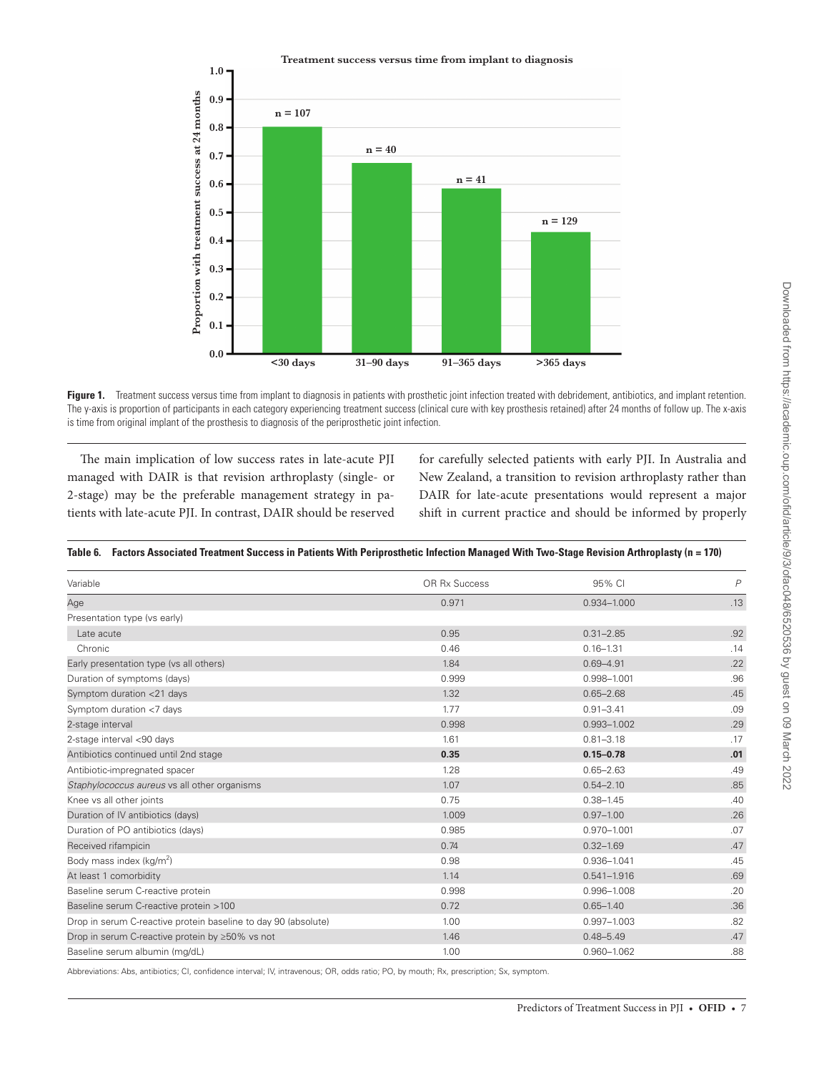

<span id="page-6-0"></span>Figure 1. Treatment success versus time from implant to diagnosis in patients with prosthetic joint infection treated with debridement, antibiotics, and implant retention. The y-axis is proportion of participants in each category experiencing treatment success (clinical cure with key prosthesis retained) after 24 months of follow up. The x-axis is time from original implant of the prosthesis to diagnosis of the periprosthetic joint infection.

The main implication of low success rates in late-acute PJI managed with DAIR is that revision arthroplasty (single- or 2-stage) may be the preferable management strategy in patients with late-acute PJI. In contrast, DAIR should be reserved for carefully selected patients with early PJI. In Australia and New Zealand, a transition to revision arthroplasty rather than DAIR for late-acute presentations would represent a major shift in current practice and should be informed by properly

#### <span id="page-6-1"></span>**Table 6. Factors Associated Treatment Success in Patients With Periprosthetic Infection Managed With Two-Stage Revision Arthroplasty (n = 170)**

| Variable                                                       | OR Rx Success | 95% CI          | $\overline{P}$ |
|----------------------------------------------------------------|---------------|-----------------|----------------|
| Age                                                            | 0.971         | 0.934-1.000     | .13            |
| Presentation type (vs early)                                   |               |                 |                |
| Late acute                                                     | 0.95          | $0.31 - 2.85$   | .92            |
| Chronic                                                        | 0.46          | $0.16 - 1.31$   | .14            |
| Early presentation type (vs all others)                        | 1.84          | $0.69 - 4.91$   | .22            |
| Duration of symptoms (days)                                    | 0.999         | 0.998-1.001     | .96            |
| Symptom duration <21 days                                      | 1.32          | $0.65 - 2.68$   | .45            |
| Symptom duration <7 days                                       | 1.77          | $0.91 - 3.41$   | .09            |
| 2-stage interval                                               | 0.998         | 0.993-1.002     | .29            |
| 2-stage interval <90 days                                      | 1.61          | $0.81 - 3.18$   | .17            |
| Antibiotics continued until 2nd stage                          | 0.35          | $0.15 - 0.78$   | .01            |
| Antibiotic-impregnated spacer                                  | 1.28          | $0.65 - 2.63$   | .49            |
| Staphylococcus aureus vs all other organisms                   | 1.07          | $0.54 - 2.10$   | .85            |
| Knee vs all other joints                                       | 0.75          | $0.38 - 1.45$   | .40            |
| Duration of IV antibiotics (days)                              | 1.009         | $0.97 - 1.00$   | .26            |
| Duration of PO antibiotics (days)                              | 0.985         | 0.970-1.001     | .07            |
| Received rifampicin                                            | 0.74          | $0.32 - 1.69$   | .47            |
| Body mass index ( $kg/m2$ )                                    | 0.98          | 0.936-1.041     | .45            |
| At least 1 comorbidity                                         | 1.14          | $0.541 - 1.916$ | .69            |
| Baseline serum C-reactive protein                              | 0.998         | 0.996-1.008     | .20            |
| Baseline serum C-reactive protein >100                         | 0.72          | $0.65 - 1.40$   | .36            |
| Drop in serum C-reactive protein baseline to day 90 (absolute) | 1.00          | 0.997-1.003     | .82            |
| Drop in serum C-reactive protein by ≥50% vs not                | 1.46          | $0.48 - 5.49$   | .47            |
| Baseline serum albumin (mg/dL)                                 | 1.00          | 0.960-1.062     | .88            |

Abbreviations: Abs, antibiotics; CI, confidence interval; IV, intravenous; OR, odds ratio; PO, by mouth; Rx, prescription; Sx, symptom.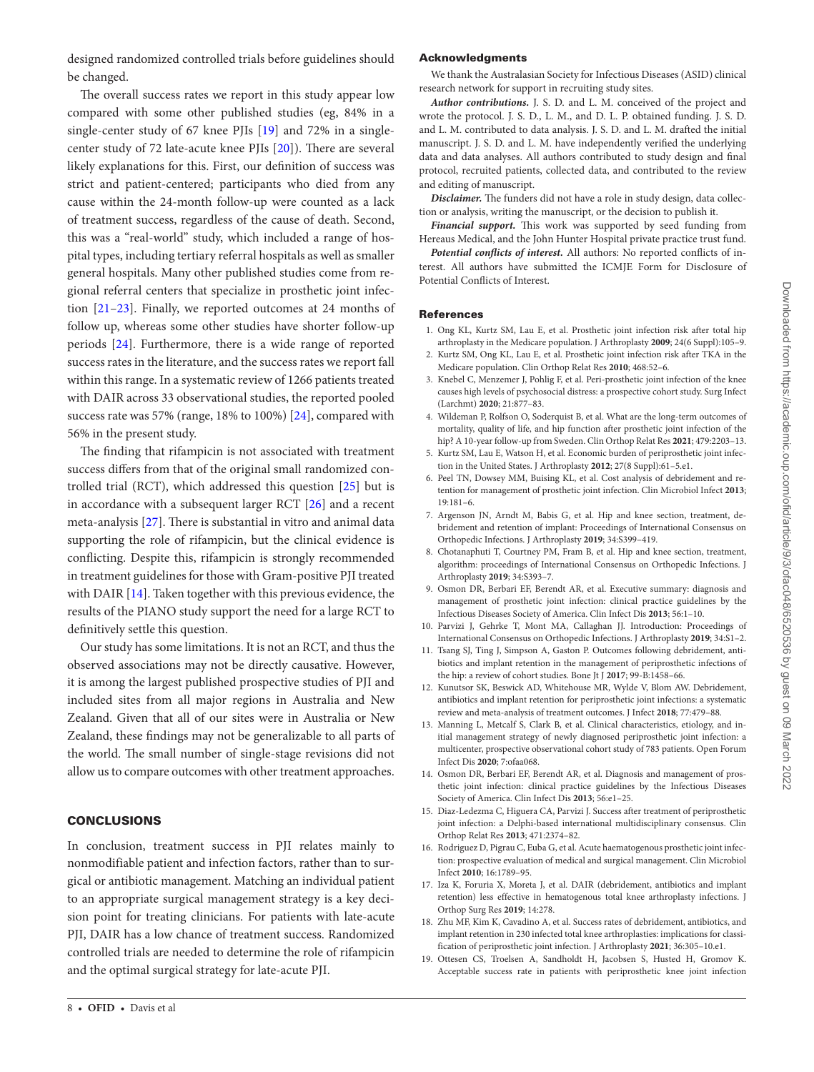# designed randomized controlled trials before guidelines should be changed.

The overall success rates we report in this study appear low compared with some other published studies (eg, 84% in a single-center study of 67 knee PJIs [\[19](#page-7-17)] and 72% in a singlecenter study of 72 late-acute knee PJIs [\[20\]](#page-8-0)). There are several likely explanations for this. First, our definition of success was strict and patient-centered; participants who died from any cause within the 24-month follow-up were counted as a lack of treatment success, regardless of the cause of death. Second, this was a "real-world" study, which included a range of hospital types, including tertiary referral hospitals as well as smaller general hospitals. Many other published studies come from regional referral centers that specialize in prosthetic joint infection [\[21](#page-8-1)[–23\]](#page-8-2). Finally, we reported outcomes at 24 months of follow up, whereas some other studies have shorter follow-up periods [[24\]](#page-8-3). Furthermore, there is a wide range of reported success rates in the literature, and the success rates we report fall within this range. In a systematic review of 1266 patients treated with DAIR across 33 observational studies, the reported pooled success rate was 57% (range, 18% to 100%) [[24\]](#page-8-3), compared with 56% in the present study.

The finding that rifampicin is not associated with treatment success differs from that of the original small randomized controlled trial (RCT), which addressed this question [[25\]](#page-8-4) but is in accordance with a subsequent larger RCT [[26\]](#page-8-5) and a recent meta-analysis [\[27](#page-8-6)]. There is substantial in vitro and animal data supporting the role of rifampicin, but the clinical evidence is conflicting. Despite this, rifampicin is strongly recommended in treatment guidelines for those with Gram-positive PJI treated with DAIR [\[14](#page-7-12)]. Taken together with this previous evidence, the results of the PIANO study support the need for a large RCT to definitively settle this question.

Our study has some limitations. It is not an RCT, and thus the observed associations may not be directly causative. However, it is among the largest published prospective studies of PJI and included sites from all major regions in Australia and New Zealand. Given that all of our sites were in Australia or New Zealand, these findings may not be generalizable to all parts of the world. The small number of single-stage revisions did not allow us to compare outcomes with other treatment approaches.

## CONCLUSIONS

In conclusion, treatment success in PJI relates mainly to nonmodifiable patient and infection factors, rather than to surgical or antibiotic management. Matching an individual patient to an appropriate surgical management strategy is a key decision point for treating clinicians. For patients with late-acute PJI, DAIR has a low chance of treatment success. Randomized controlled trials are needed to determine the role of rifampicin and the optimal surgical strategy for late-acute PJI.

## Acknowledgments

We thank the Australasian Society for Infectious Diseases (ASID) clinical research network for support in recruiting study sites.

*Author contributions.* J. S. D. and L. M. conceived of the project and wrote the protocol. J. S. D., L. M., and D. L. P. obtained funding. J. S. D. and L. M. contributed to data analysis. J. S. D. and L. M. drafted the initial manuscript. J. S. D. and L. M. have independently verified the underlying data and data analyses. All authors contributed to study design and final protocol, recruited patients, collected data, and contributed to the review and editing of manuscript.

*Disclaimer.* The funders did not have a role in study design, data collection or analysis, writing the manuscript, or the decision to publish it.

*Financial support.* This work was supported by seed funding from Hereaus Medical, and the John Hunter Hospital private practice trust fund.

*Potential conflicts of interest.* All authors: No reported conflicts of interest. All authors have submitted the ICMJE Form for Disclosure of Potential Conflicts of Interest.

#### **References**

- <span id="page-7-0"></span>1. Ong KL, Kurtz SM, Lau E, et al. Prosthetic joint infection risk after total hip arthroplasty in the Medicare population. J Arthroplasty **2009**; 24(6 Suppl):105–9.
- <span id="page-7-1"></span>2. Kurtz SM, Ong KL, Lau E, et al. Prosthetic joint infection risk after TKA in the Medicare population. Clin Orthop Relat Res **2010**; 468:52–6.
- <span id="page-7-2"></span>3. Knebel C, Menzemer J, Pohlig F, et al. Peri-prosthetic joint infection of the knee causes high levels of psychosocial distress: a prospective cohort study. Surg Infect (Larchmt) **2020**; 21:877–83.
- <span id="page-7-3"></span>4. Wildeman P, Rolfson O, Soderquist B, et al. What are the long-term outcomes of mortality, quality of life, and hip function after prosthetic joint infection of the hip? A 10-year follow-up from Sweden. Clin Orthop Relat Res **2021**; 479:2203–13.
- <span id="page-7-4"></span>5. Kurtz SM, Lau E, Watson H, et al. Economic burden of periprosthetic joint infection in the United States. J Arthroplasty **2012**; 27(8 Suppl):61–5.e1.
- <span id="page-7-5"></span>6. Peel TN, Dowsey MM, Buising KL, et al. Cost analysis of debridement and retention for management of prosthetic joint infection. Clin Microbiol Infect **2013**; 19:181–6.
- <span id="page-7-6"></span>7. Argenson JN, Arndt M, Babis G, et al. Hip and knee section, treatment, debridement and retention of implant: Proceedings of International Consensus on Orthopedic Infections. J Arthroplasty **2019**; 34:S399–419.
- 8. Chotanaphuti T, Courtney PM, Fram B, et al. Hip and knee section, treatment, algorithm: proceedings of International Consensus on Orthopedic Infections. J Arthroplasty **2019**; 34:S393–7.
- <span id="page-7-7"></span>9. Osmon DR, Berbari EF, Berendt AR, et al. Executive summary: diagnosis and management of prosthetic joint infection: clinical practice guidelines by the Infectious Diseases Society of America. Clin Infect Dis **2013**; 56:1–10.
- <span id="page-7-8"></span>10. Parvizi J, Gehrke T, Mont MA, Callaghan JJ. Introduction: Proceedings of International Consensus on Orthopedic Infections. J Arthroplasty **2019**; 34:S1–2.
- <span id="page-7-9"></span>11. Tsang SJ, Ting J, Simpson A, Gaston P. Outcomes following debridement, antibiotics and implant retention in the management of periprosthetic infections of the hip: a review of cohort studies. Bone Jt J **2017**; 99-B:1458–66.
- <span id="page-7-10"></span>12. Kunutsor SK, Beswick AD, Whitehouse MR, Wylde V, Blom AW. Debridement, antibiotics and implant retention for periprosthetic joint infections: a systematic review and meta-analysis of treatment outcomes. J Infect **2018**; 77:479–88.
- <span id="page-7-11"></span>13. Manning L, Metcalf S, Clark B, et al. Clinical characteristics, etiology, and initial management strategy of newly diagnosed periprosthetic joint infection: a multicenter, prospective observational cohort study of 783 patients. Open Forum Infect Dis **2020**; 7:ofaa068.
- <span id="page-7-12"></span>14. Osmon DR, Berbari EF, Berendt AR, et al. Diagnosis and management of prosthetic joint infection: clinical practice guidelines by the Infectious Diseases Society of America. Clin Infect Dis **2013**; 56:e1–25.
- <span id="page-7-13"></span>15. Diaz-Ledezma C, Higuera CA, Parvizi J. Success after treatment of periprosthetic joint infection: a Delphi-based international multidisciplinary consensus. Clin Orthop Relat Res **2013**; 471:2374–82.
- <span id="page-7-14"></span>16. Rodriguez D, Pigrau C, Euba G, et al. Acute haematogenous prosthetic joint infection: prospective evaluation of medical and surgical management. Clin Microbiol Infect **2010**; 16:1789–95.
- <span id="page-7-15"></span>17. Iza K, Foruria X, Moreta J, et al. DAIR (debridement, antibiotics and implant retention) less effective in hematogenous total knee arthroplasty infections. J Orthop Surg Res **2019**; 14:278.
- <span id="page-7-16"></span>18. Zhu MF, Kim K, Cavadino A, et al. Success rates of debridement, antibiotics, and implant retention in 230 infected total knee arthroplasties: implications for classification of periprosthetic joint infection. J Arthroplasty **2021**; 36:305–10.e1.
- <span id="page-7-17"></span>19. Ottesen CS, Troelsen A, Sandholdt H, Jacobsen S, Husted H, Gromov K. Acceptable success rate in patients with periprosthetic knee joint infection